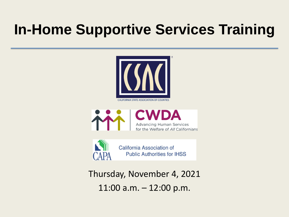## **In-Home Supportive Services Training**



**CALIFORNIA STATE ASSOCIATION OF COUNTIES** 





California Association of **Public Authorities for IHSS** 

Thursday, November 4, 2021 11:00 a.m. – 12:00 p.m.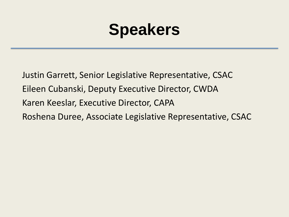## **Speakers**

Justin Garrett, Senior Legislative Representative, CSAC Eileen Cubanski, Deputy Executive Director, CWDA Karen Keeslar, Executive Director, CAPA Roshena Duree, Associate Legislative Representative, CSAC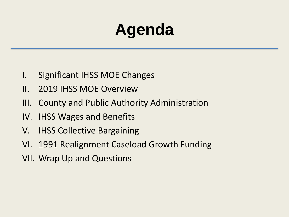# **Agenda**

- I. Significant IHSS MOE Changes
- II. 2019 IHSS MOE Overview
- III. County and Public Authority Administration
- IV. IHSS Wages and Benefits
- V. IHSS Collective Bargaining
- VI. 1991 Realignment Caseload Growth Funding
- VII. Wrap Up and Questions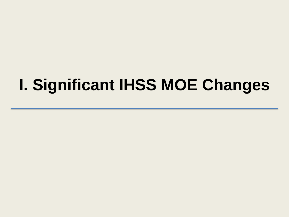## **I. Significant IHSS MOE Changes**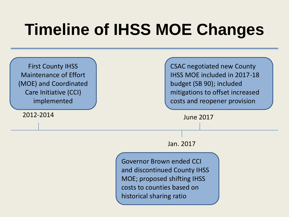## **Timeline of IHSS MOE Changes**

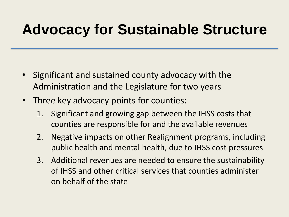#### **Advocacy for Sustainable Structure**

- Significant and sustained county advocacy with the Administration and the Legislature for two years
- Three key advocacy points for counties:
	- 1. Significant and growing gap between the IHSS costs that counties are responsible for and the available revenues
	- 2. Negative impacts on other Realignment programs, including public health and mental health, due to IHSS cost pressures
	- 3. Additional revenues are needed to ensure the sustainability of IHSS and other critical services that counties administer on behalf of the state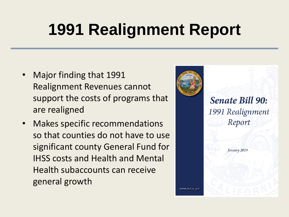# **1991 Realignment Report**

- Major finding that 1991 Realignment Revenues cannot support the costs of programs that are realigned
- Makes specific recommendations so that counties do not have to use significant county General Fund for IHSS costs and Health and Mental Health subaccounts can receive general growth



**Senate Bill 90:** 1991 Realignment Report

January 2019

www.dof.ca.gov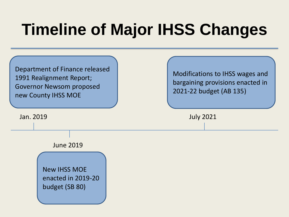## **Timeline of Major IHSS Changes**

Department of Finance released 1991 Realignment Report; Governor Newsom proposed new County IHSS MOE

Jan. 2019

Modifications to IHSS wages and bargaining provisions enacted in 2021-22 budget (AB 135)

July 2021

June 2019

New IHSS MOE enacted in 2019-20 budget (SB 80)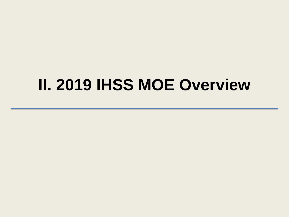#### **II. 2019 IHSS MOE Overview**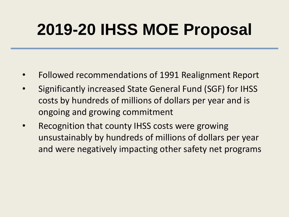## **2019-20 IHSS MOE Proposal**

- Followed recommendations of 1991 Realignment Report
- Significantly increased State General Fund (SGF) for IHSS costs by hundreds of millions of dollars per year and is ongoing and growing commitment
- Recognition that county IHSS costs were growing unsustainably by hundreds of millions of dollars per year and were negatively impacting other safety net programs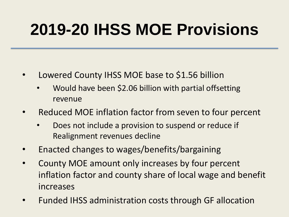## **2019-20 IHSS MOE Provisions**

- Lowered County IHSS MOE base to \$1.56 billion
	- Would have been \$2.06 billion with partial offsetting revenue
- Reduced MOE inflation factor from seven to four percent
	- Does not include a provision to suspend or reduce if Realignment revenues decline
- Enacted changes to wages/benefits/bargaining
- County MOE amount only increases by four percent inflation factor and county share of local wage and benefit increases
- Funded IHSS administration costs through GF allocation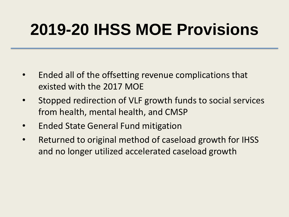## **2019-20 IHSS MOE Provisions**

- Ended all of the offsetting revenue complications that existed with the 2017 MOE
- Stopped redirection of VLF growth funds to social services from health, mental health, and CMSP
- Ended State General Fund mitigation
- Returned to original method of caseload growth for IHSS and no longer utilized accelerated caseload growth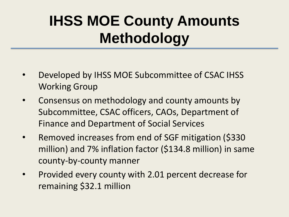## **IHSS MOE County Amounts Methodology**

- Developed by IHSS MOE Subcommittee of CSAC IHSS Working Group
- Consensus on methodology and county amounts by Subcommittee, CSAC officers, CAOs, Department of Finance and Department of Social Services
- Removed increases from end of SGF mitigation (\$330 million) and 7% inflation factor (\$134.8 million) in same county-by-county manner
- Provided every county with 2.01 percent decrease for remaining \$32.1 million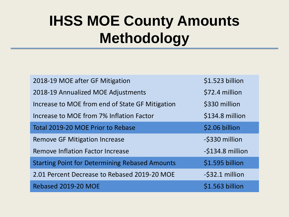#### **IHSS MOE County Amounts Methodology**

| 2018-19 MOE after GF Mitigation                       | \$1.523 billion  |
|-------------------------------------------------------|------------------|
| 2018-19 Annualized MOE Adjustments                    | \$72.4 million   |
| Increase to MOE from end of State GF Mitigation       | \$330 million    |
| Increase to MOE from 7% Inflation Factor              | \$134.8 million  |
| Total 2019-20 MOE Prior to Rebase                     | \$2.06 billion   |
| <b>Remove GF Mitigation Increase</b>                  | -\$330 million   |
| Remove Inflation Factor Increase                      | -\$134.8 million |
| <b>Starting Point for Determining Rebased Amounts</b> | \$1.595 billion  |
| 2.01 Percent Decrease to Rebased 2019-20 MOE          | -\$32.1 million  |
| Rebased 2019-20 MOE                                   | \$1.563 billion  |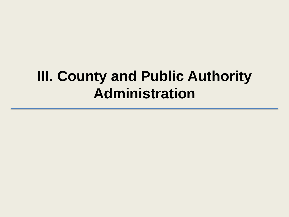#### **III. County and Public Authority Administration**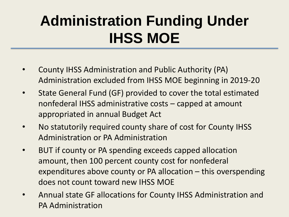## **Administration Funding Under IHSS MOE**

- County IHSS Administration and Public Authority (PA) Administration excluded from IHSS MOE beginning in 2019-20
- State General Fund (GF) provided to cover the total estimated nonfederal IHSS administrative costs – capped at amount appropriated in annual Budget Act
- No statutorily required county share of cost for County IHSS Administration or PA Administration
- BUT if county or PA spending exceeds capped allocation amount, then 100 percent county cost for nonfederal expenditures above county or PA allocation – this overspending does not count toward new IHSS MOE
- Annual state GF allocations for County IHSS Administration and PA Administration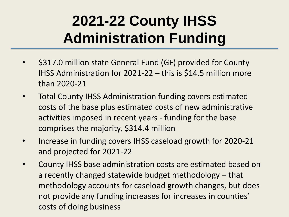## **2021-22 County IHSS Administration Funding**

- \$317.0 million state General Fund (GF) provided for County IHSS Administration for 2021-22 – this is \$14.5 million more than 2020-21
- Total County IHSS Administration funding covers estimated costs of the base plus estimated costs of new administrative activities imposed in recent years - funding for the base comprises the majority, \$314.4 million
- Increase in funding covers IHSS caseload growth for 2020-21 and projected for 2021-22
- County IHSS base administration costs are estimated based on a recently changed statewide budget methodology – that methodology accounts for caseload growth changes, but does not provide any funding increases for increases in counties' costs of doing business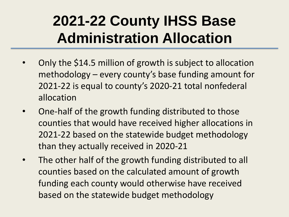### **2021-22 County IHSS Base Administration Allocation**

- Only the \$14.5 million of growth is subject to allocation methodology – every county's base funding amount for 2021-22 is equal to county's 2020-21 total nonfederal allocation
- One-half of the growth funding distributed to those counties that would have received higher allocations in 2021-22 based on the statewide budget methodology than they actually received in 2020-21
- The other half of the growth funding distributed to all counties based on the calculated amount of growth funding each county would otherwise have received based on the statewide budget methodology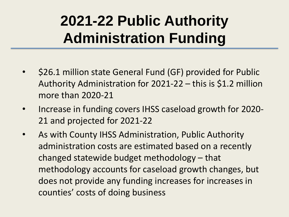## **2021-22 Public Authority Administration Funding**

- \$26.1 million state General Fund (GF) provided for Public Authority Administration for 2021-22 – this is \$1.2 million more than 2020-21
- Increase in funding covers IHSS caseload growth for 2020- 21 and projected for 2021-22
- As with County IHSS Administration, Public Authority administration costs are estimated based on a recently changed statewide budget methodology – that methodology accounts for caseload growth changes, but does not provide any funding increases for increases in counties' costs of doing business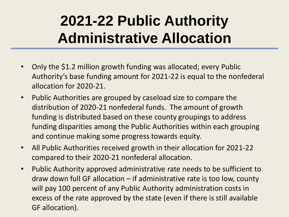## **2021-22 Public Authority Administrative Allocation**

- Only the \$1.2 million growth funding was allocated; every Public Authority's base funding amount for 2021-22 is equal to the nonfederal allocation for 2020-21.
- Public Authorities are grouped by caseload size to compare the distribution of 2020-21 nonfederal funds. The amount of growth funding is distributed based on these county groupings to address funding disparities among the Public Authorities within each grouping and continue making some progress towards equity.
- All Public Authorities received growth in their allocation for 2021-22 compared to their 2020-21 nonfederal allocation.
- Public Authority approved administrative rate needs to be sufficient to draw down full GF allocation – if administrative rate is too low, county will pay 100 percent of any Public Authority administration costs in excess of the rate approved by the state (even if there is still available GF allocation).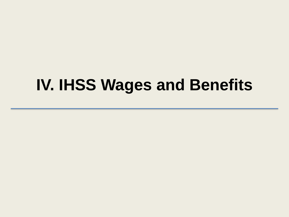#### **IV. IHSS Wages and Benefits**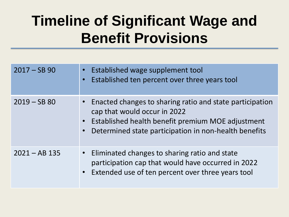## **Timeline of Significant Wage and Benefit Provisions**

| $2017 - SB$ 90  | Established wage supplement tool<br>$\bullet$<br>Established ten percent over three years tool<br>$\bullet$                                                                                                                        |
|-----------------|------------------------------------------------------------------------------------------------------------------------------------------------------------------------------------------------------------------------------------|
| $2019 - SB 80$  | • Enacted changes to sharing ratio and state participation<br>cap that would occur in 2022<br>Established health benefit premium MOE adjustment<br>$\bullet$<br>Determined state participation in non-health benefits<br>$\bullet$ |
| $2021 - AB$ 135 | • Eliminated changes to sharing ratio and state<br>participation cap that would have occurred in 2022<br>• Extended use of ten percent over three years tool                                                                       |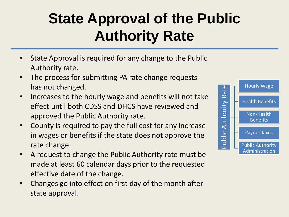## **State Approval of the Public Authority Rate**

- State Approval is required for any change to the Public Authority rate.
- The process for submitting PA rate change requests has not changed.
- Increases to the hourly wage and benefits will not take effect until both CDSS and DHCS have reviewed and approved the Public Authority rate.
- County is required to pay the full cost for any increase in wages or benefits if the state does not approve the rate change.
- A request to change the Public Authority rate must be made at least 60 calendar days prior to the requested effective date of the change.
- Changes go into effect on first day of the month after state approval.

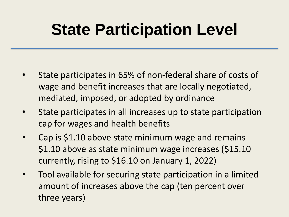## **State Participation Level**

- State participates in 65% of non-federal share of costs of wage and benefit increases that are locally negotiated, mediated, imposed, or adopted by ordinance
- State participates in all increases up to state participation cap for wages and health benefits
- Cap is \$1.10 above state minimum wage and remains \$1.10 above as state minimum wage increases (\$15.10 currently, rising to \$16.10 on January 1, 2022)
- Tool available for securing state participation in a limited amount of increases above the cap (ten percent over three years)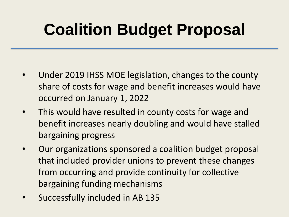# **Coalition Budget Proposal**

- Under 2019 IHSS MOE legislation, changes to the county share of costs for wage and benefit increases would have occurred on January 1, 2022
- This would have resulted in county costs for wage and benefit increases nearly doubling and would have stalled bargaining progress
- Our organizations sponsored a coalition budget proposal that included provider unions to prevent these changes from occurring and provide continuity for collective bargaining funding mechanisms
- Successfully included in AB 135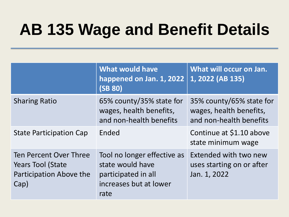# **AB 135 Wage and Benefit Details**

|                                                                                       | <b>What would have</b><br>happened on Jan. 1, 2022<br>(SB 80)                                            | What will occur on Jan.<br>1, 2022 (AB 135)                                    |
|---------------------------------------------------------------------------------------|----------------------------------------------------------------------------------------------------------|--------------------------------------------------------------------------------|
| <b>Sharing Ratio</b>                                                                  | 65% county/35% state for<br>wages, health benefits,<br>and non-health benefits                           | 35% county/65% state for<br>wages, health benefits,<br>and non-health benefits |
| <b>State Participation Cap</b>                                                        | Ended                                                                                                    | Continue at \$1.10 above<br>state minimum wage                                 |
| Ten Percent Over Three<br><b>Years Tool (State</b><br>Participation Above the<br>Cap) | Tool no longer effective as<br>state would have<br>participated in all<br>increases but at lower<br>rate | Extended with two new<br>uses starting on or after<br>Jan. 1, 2022             |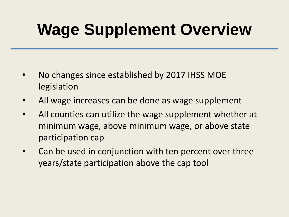# **Wage Supplement Overview**

- No changes since established by 2017 IHSS MOE legislation
- All wage increases can be done as wage supplement
- All counties can utilize the wage supplement whether at minimum wage, above minimum wage, or above state participation cap
- Can be used in conjunction with ten percent over three years/state participation above the cap tool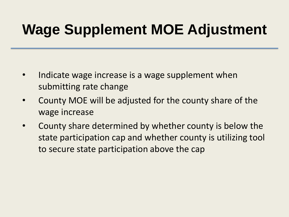## **Wage Supplement MOE Adjustment**

- Indicate wage increase is a wage supplement when submitting rate change
- County MOE will be adjusted for the county share of the wage increase
- County share determined by whether county is below the state participation cap and whether county is utilizing tool to secure state participation above the cap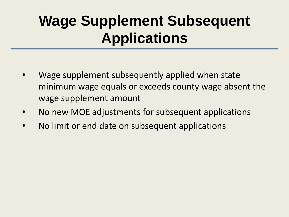### **Wage Supplement Subsequent Applications**

- Wage supplement subsequently applied when state minimum wage equals or exceeds county wage absent the wage supplement amount
- No new MOE adjustments for subsequent applications
- No limit or end date on subsequent applications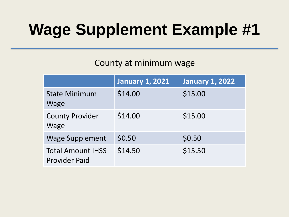# **Wage Supplement Example #1**

#### County at minimum wage

|                                                  | <b>January 1, 2021</b> | <b>January 1, 2022</b> |
|--------------------------------------------------|------------------------|------------------------|
| <b>State Minimum</b><br>Wage                     | \$14.00                | \$15.00                |
| <b>County Provider</b><br><b>Wage</b>            | \$14.00                | \$15.00                |
| <b>Wage Supplement</b>                           | \$0.50                 | \$0.50                 |
| <b>Total Amount IHSS</b><br><b>Provider Paid</b> | \$14.50                | \$15.50                |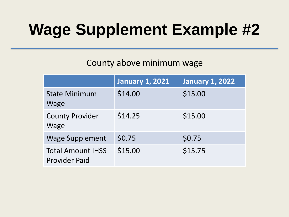# **Wage Supplement Example #2**

#### County above minimum wage

|                                                  | <b>January 1, 2021</b> | <b>January 1, 2022</b> |
|--------------------------------------------------|------------------------|------------------------|
| <b>State Minimum</b><br>Wage                     | \$14.00                | \$15.00                |
| <b>County Provider</b><br><b>Wage</b>            | \$14.25                | \$15.00                |
| <b>Wage Supplement</b>                           | \$0.75                 | \$0.75                 |
| <b>Total Amount IHSS</b><br><b>Provider Paid</b> | \$15.00                | \$15.75                |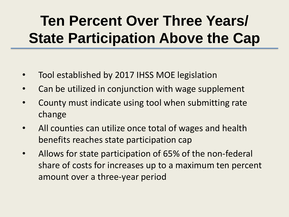## **Ten Percent Over Three Years/ State Participation Above the Cap**

- Tool established by 2017 IHSS MOE legislation
- Can be utilized in conjunction with wage supplement
- County must indicate using tool when submitting rate change
- All counties can utilize once total of wages and health benefits reaches state participation cap
- Allows for state participation of 65% of the non-federal share of costs for increases up to a maximum ten percent amount over a three-year period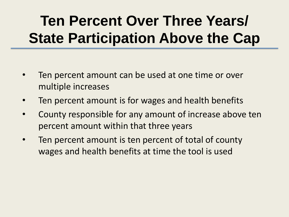## **Ten Percent Over Three Years/ State Participation Above the Cap**

- Ten percent amount can be used at one time or over multiple increases
- Ten percent amount is for wages and health benefits
- County responsible for any amount of increase above ten percent amount within that three years
- Ten percent amount is ten percent of total of county wages and health benefits at time the tool is used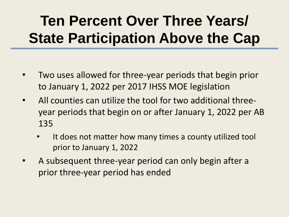## **Ten Percent Over Three Years/ State Participation Above the Cap**

- Two uses allowed for three-year periods that begin prior to January 1, 2022 per 2017 IHSS MOE legislation
- All counties can utilize the tool for two additional threeyear periods that begin on or after January 1, 2022 per AB 135
	- It does not matter how many times a county utilized tool prior to January 1, 2022
- A subsequent three-year period can only begin after a prior three-year period has ended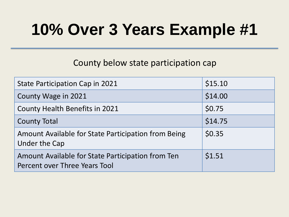## **10% Over 3 Years Example #1**

#### County below state participation cap

| <b>State Participation Cap in 2021</b>                                             | \$15.10 |
|------------------------------------------------------------------------------------|---------|
| County Wage in 2021                                                                | \$14.00 |
| <b>County Health Benefits in 2021</b>                                              | \$0.75  |
| <b>County Total</b>                                                                | \$14.75 |
| Amount Available for State Participation from Being<br><b>Under the Cap</b>        | \$0.35  |
| Amount Available for State Participation from Ten<br>Percent over Three Years Tool | \$1.51  |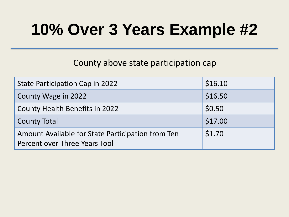## **10% Over 3 Years Example #2**

#### County above state participation cap

| <b>State Participation Cap in 2022</b>                                             | \$16.10 |
|------------------------------------------------------------------------------------|---------|
| County Wage in 2022                                                                | \$16.50 |
| <b>County Health Benefits in 2022</b>                                              | \$0.50  |
| <b>County Total</b>                                                                | \$17.00 |
| Amount Available for State Participation from Ten<br>Percent over Three Years Tool | \$1.70  |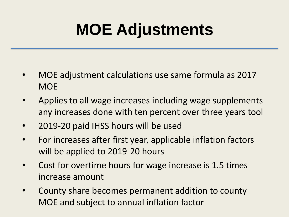## **MOE Adjustments**

- MOE adjustment calculations use same formula as 2017 **MOE**
- Applies to all wage increases including wage supplements any increases done with ten percent over three years tool
- 2019-20 paid IHSS hours will be used
- For increases after first year, applicable inflation factors will be applied to 2019-20 hours
- Cost for overtime hours for wage increase is 1.5 times increase amount
- County share becomes permanent addition to county MOE and subject to annual inflation factor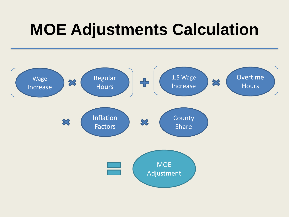## **MOE Adjustments Calculation**

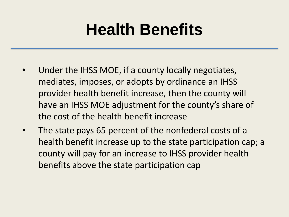## **Health Benefits**

- Under the IHSS MOE, if a county locally negotiates, mediates, imposes, or adopts by ordinance an IHSS provider health benefit increase, then the county will have an IHSS MOE adjustment for the county's share of the cost of the health benefit increase
- The state pays 65 percent of the nonfederal costs of a health benefit increase up to the state participation cap; a county will pay for an increase to IHSS provider health benefits above the state participation cap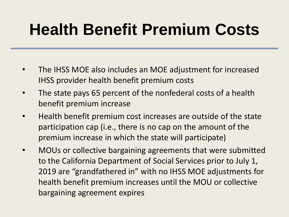# **Health Benefit Premium Costs**

- The IHSS MOE also includes an MOE adjustment for increased IHSS provider health benefit premium costs
- The state pays 65 percent of the nonfederal costs of a health benefit premium increase
- Health benefit premium cost increases are outside of the state participation cap (i.e., there is no cap on the amount of the premium increase in which the state will participate)
- MOUs or collective bargaining agreements that were submitted to the California Department of Social Services prior to July 1, 2019 are "grandfathered in" with no IHSS MOE adjustments for health benefit premium increases until the MOU or collective bargaining agreement expires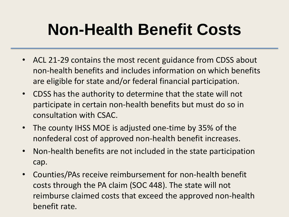## **Non-Health Benefit Costs**

- ACL 21-29 contains the most recent guidance from CDSS about non-health benefits and includes information on which benefits are eligible for state and/or federal financial participation.
- CDSS has the authority to determine that the state will not participate in certain non-health benefits but must do so in consultation with CSAC.
- The county IHSS MOE is adjusted one-time by 35% of the nonfederal cost of approved non-health benefit increases.
- Non-health benefits are not included in the state participation cap.
- Counties/PAs receive reimbursement for non-health benefit costs through the PA claim (SOC 448). The state will not reimburse claimed costs that exceed the approved non-health benefit rate.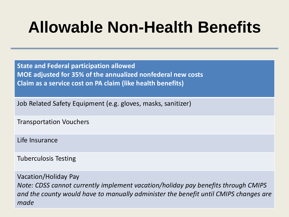## **Allowable Non-Health Benefits**

**State and Federal participation allowed MOE adjusted for 35% of the annualized nonfederal new costs Claim as a service cost on PA claim (like health benefits)**

Job Related Safety Equipment (e.g. gloves, masks, sanitizer)

Transportation Vouchers

Life Insurance

Tuberculosis Testing

Vacation/Holiday Pay *Note: CDSS cannot currently implement vacation/holiday pay benefits through CMIPS and the county would have to manually administer the benefit until CMIPS changes are made*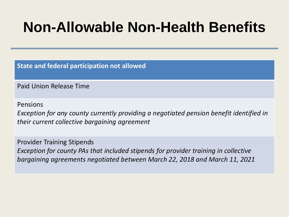#### **Non-Allowable Non-Health Benefits**

**State and federal participation not allowed**

Paid Union Release Time

Pensions

*Exception for any county currently providing a negotiated pension benefit identified in their current collective bargaining agreement*

Provider Training Stipends *Exception for county PAs that included stipends for provider training in collective bargaining agreements negotiated between March 22, 2018 and March 11, 2021*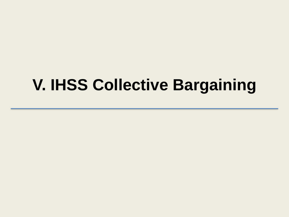#### **V. IHSS Collective Bargaining**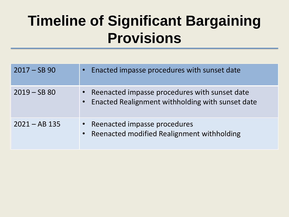#### **Timeline of Significant Bargaining Provisions**

| $2017 - SB$ 90  | • Enacted impasse procedures with sunset date                                                         |
|-----------------|-------------------------------------------------------------------------------------------------------|
| $2019 - SB 80$  | • Reenacted impasse procedures with sunset date<br>• Enacted Realignment withholding with sunset date |
| $2021 - AB$ 135 | • Reenacted impasse procedures<br>• Reenacted modified Realignment withholding                        |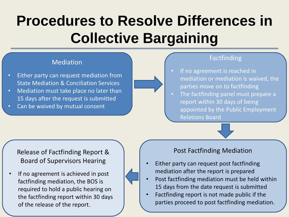## **Procedures to Resolve Differences in Collective Bargaining**

#### Mediation

- Either party can request mediation from State Mediation & Conciliation Services
- Mediation must take place no later than 15 days after the request is submitted
- Can be waived by mutual consent

#### Factfinding

- If no agreement is reached in mediation or mediation is waived, the parties move on to factfinding
	- The factfinding panel must prepare a report within 30 days of being appointed by the Public Employment Relations Board



#### Release of Factfinding Report & Board of Supervisors Hearing

If no agreement is achieved in post factfinding mediation, the BOS is required to hold a public hearing on the factfinding report within 30 days of the release of the report.

#### Post Factfinding Mediation

- Either party can request post factfinding mediation after the report is prepared
- Post factfinding mediation must be held within 15 days from the date request is submitted
- Factfinding report is not made public if the parties proceed to post factfinding mediation.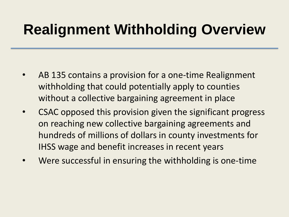#### **Realignment Withholding Overview**

- AB 135 contains a provision for a one-time Realignment withholding that could potentially apply to counties without a collective bargaining agreement in place
- CSAC opposed this provision given the significant progress on reaching new collective bargaining agreements and hundreds of millions of dollars in county investments for IHSS wage and benefit increases in recent years
- Were successful in ensuring the withholding is one-time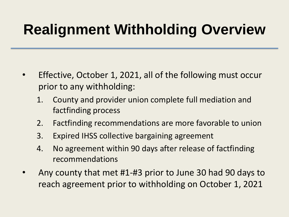## **Realignment Withholding Overview**

- Effective, October 1, 2021, all of the following must occur prior to any withholding:
	- 1. County and provider union complete full mediation and factfinding process
	- 2. Factfinding recommendations are more favorable to union
	- 3. Expired IHSS collective bargaining agreement
	- 4. No agreement within 90 days after release of factfinding recommendations
- Any county that met #1-#3 prior to June 30 had 90 days to reach agreement prior to withholding on October 1, 2021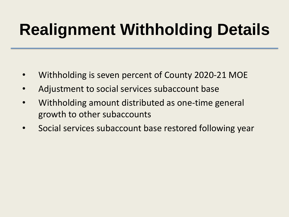# **Realignment Withholding Details**

- Withholding is seven percent of County 2020-21 MOE
- Adjustment to social services subaccount base
- Withholding amount distributed as one-time general growth to other subaccounts
- Social services subaccount base restored following year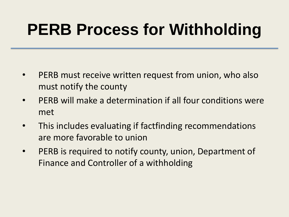## **PERB Process for Withholding**

- PERB must receive written request from union, who also must notify the county
- PERB will make a determination if all four conditions were met
- This includes evaluating if factfinding recommendations are more favorable to union
- PERB is required to notify county, union, Department of Finance and Controller of a withholding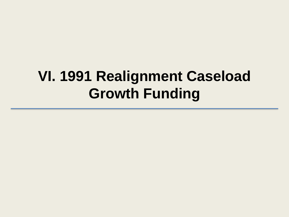#### **VI. 1991 Realignment Caseload Growth Funding**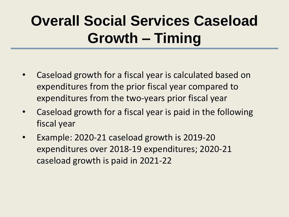## **Overall Social Services Caseload Growth – Timing**

- Caseload growth for a fiscal year is calculated based on expenditures from the prior fiscal year compared to expenditures from the two-years prior fiscal year
- Caseload growth for a fiscal year is paid in the following fiscal year
- Example: 2020-21 caseload growth is 2019-20 expenditures over 2018-19 expenditures; 2020-21 caseload growth is paid in 2021-22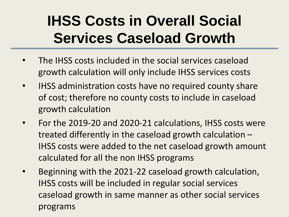### **IHSS Costs in Overall Social Services Caseload Growth**

- The IHSS costs included in the social services caseload growth calculation will only include IHSS services costs
- IHSS administration costs have no required county share of cost; therefore no county costs to include in caseload growth calculation
- For the 2019-20 and 2020-21 calculations, IHSS costs were treated differently in the caseload growth calculation – IHSS costs were added to the net caseload growth amount calculated for all the non IHSS programs
- Beginning with the 2021-22 caseload growth calculation, IHSS costs will be included in regular social services caseload growth in same manner as other social services programs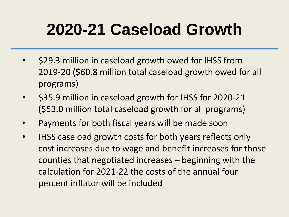# **2020-21 Caseload Growth**

- \$29.3 million in caseload growth owed for IHSS from 2019-20 (\$60.8 million total caseload growth owed for all programs)
- \$35.9 million in caseload growth for IHSS for 2020-21 (\$53.0 million total caseload growth for all programs)
- Payments for both fiscal years will be made soon
- IHSS caseload growth costs for both years reflects only cost increases due to wage and benefit increases for those counties that negotiated increases – beginning with the calculation for 2021-22 the costs of the annual four percent inflator will be included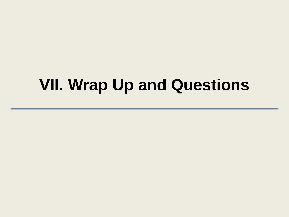#### **VII. Wrap Up and Questions**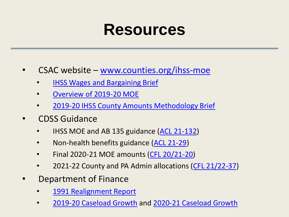#### **Resources**

#### $CSAC$  website – [www.counties.org/ihss-moe](http://www.counties.org/ihss-moe)

- **[IHSS Wages and Bargaining Brief](https://www.counties.org/sites/main/files/file-attachments/ihss_wages_and_bargaining_brief_november_2021.pdf)**
- [Overview of 2019-20 MOE](https://www.counties.org/sites/main/files/file-attachments/overview_of_2019-20_county_ihss_moe.pdf)
- [2019-20 IHSS County Amounts Methodology Brief](https://www.counties.org/sites/main/files/file-attachments/2019-20_ihss_moe_county_amounts_methodology_brief_august_2019.pdf)
- CDSS Guidance
	- IHSS MOE and AB 135 guidance [\(ACL 21-132](https://www.cdss.ca.gov/Portals/9/Additional-Resources/Letters-and-Notices/ACLs/2021/21-132.pdf?ver=2021-10-28-130017-937))
	- Non-health benefits guidance [\(ACL 21-29](https://www.cdss.ca.gov/Portals/9/Additional-Resources/Letters-and-Notices/ACLs/2021/21-29.pdf?ver=2021-03-11-161239-980))
	- Final 2020-21 MOE amounts [\(CFL 20/21-20\)](https://www.cdss.ca.gov/Portals/9/Additional-Resources/Letters-and-Notices/CFLs/2022/21-22_20.pdf?ver=2021-09-22-164731-337)
	- 2021-22 County and PA Admin allocations [\(CFL 21/22-37](https://www.cdss.ca.gov/Portals/9/Additional-Resources/Letters-and-Notices/CFLs/2022/21-22_37.pdf?ver=2021-11-05-145217-510))
- Department of Finance
	- [1991 Realignment Report](https://www.dof.ca.gov/Reports/Other/documents/Senate_Bill_90-1991_Realignment_Report.pdf)
	- [2019-20 Caseload Growth](https://www.counties.org/sites/main/files/file-attachments/2019-20_realignment_caseload_growth_letter_to_sco.pdf) and [2020-21 Caseload Growth](https://www.counties.org/sites/main/files/file-attachments/2020-21_realignment_caseload_growth_letter_to_sco_signed-cc.pdf)